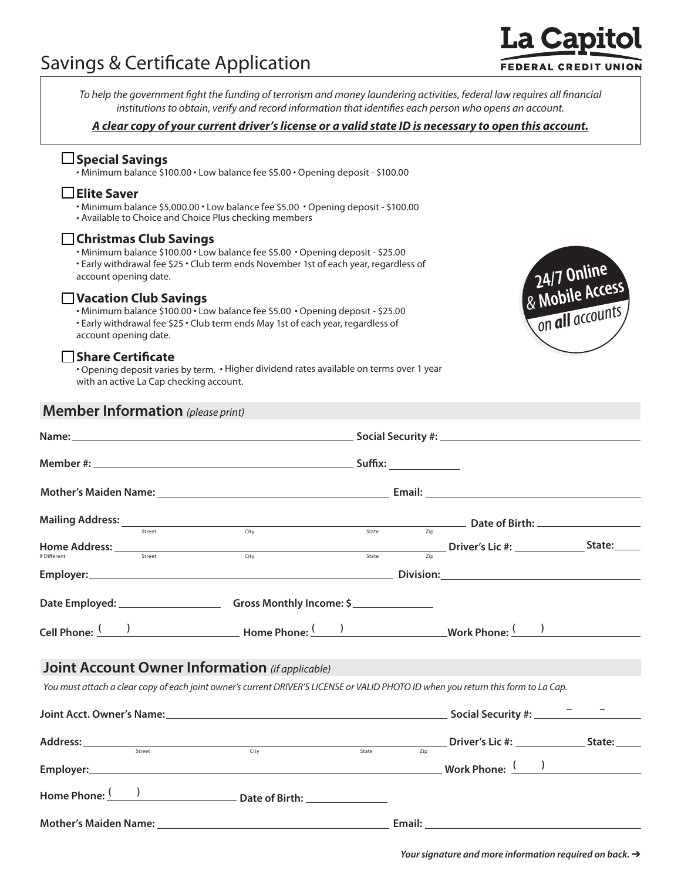# Savings & Certificate Application

To help the government fight the funding of terrorism and money laundering activities, federal law requires all financial institutions to obtain, verify and record information that identifies each person who opens an account.

#### *A clear copy of your current driver's license or a valid state ID is necessary to open this account.*

## **Special Savings**

• Minimum balance \$100.00 • Low balance fee \$5.00 • Opening deposit - \$100.00

## **Elite Saver**

• Minimum balance \$5,000.00 • Low balance fee \$5.00 • Opening deposit - \$100.00 • Available to Choice and Choice Plus checking members

#### **Christmas Club Savings**

• Minimum balance \$100.00 • Low balance fee \$5.00• Opening deposit - \$25.00

• Early withdrawal fee \$25 • Club term ends November 1st of each year, regardless of account opening date.

## **Vacation Club Savings**

• Minimum balance \$100.00 • Low balance fee \$5.00• Opening deposit - \$25.00 • Early withdrawal fee \$25 • Club term ends May 1st of each year, regardless of account opening date.

## **Share Certificate**

• Opening deposit varies by term. • Higher dividend rates available on terms over 1 year with an active La Cap checking account.

## **Member Information** *(please print)*



| Mailing Address: 1978 Mailing Address: 1978 March 1979 March 1979 March 1979 March 1979 March 1979 March 1979 M                                                                                                                                                           |  |  |  | $\frac{1}{\sqrt{1+\frac{1}{2}}\sqrt{1+\frac{1}{2}}\sqrt{1+\frac{1}{2}}\sqrt{1+\frac{1}{2}}\sqrt{1+\frac{1}{2}}\sqrt{1+\frac{1}{2}}\sqrt{1+\frac{1}{2}}\sqrt{1+\frac{1}{2}}\sqrt{1+\frac{1}{2}}\sqrt{1+\frac{1}{2}}\sqrt{1+\frac{1}{2}}\sqrt{1+\frac{1}{2}}\sqrt{1+\frac{1}{2}}\sqrt{1+\frac{1}{2}}\sqrt{1+\frac{1}{2}}\sqrt{1+\frac{1}{2}}\sqrt{1+\frac{1}{2}}\sqrt{1+\frac{1}{2}}\sqrt{1+\frac{1}{2}}\sqrt{1+\frac$ |  |  |
|---------------------------------------------------------------------------------------------------------------------------------------------------------------------------------------------------------------------------------------------------------------------------|--|--|--|----------------------------------------------------------------------------------------------------------------------------------------------------------------------------------------------------------------------------------------------------------------------------------------------------------------------------------------------------------------------------------------------------------------------|--|--|
| Home Address: $\frac{1}{\text{Stet} + \text{Stet} + \text{Stet} + \text{Stet} + \text{Stet} + \text{Stet}}$ (ity $\frac{1}{\text{State}}$ and $\frac{1}{\text{State}}$ and $\frac{1}{\text{Stet}}$ Driver's Lic #: $\frac{1}{\text{Stet}}$ State: $\frac{1}{\text{Stet}}$ |  |  |  |                                                                                                                                                                                                                                                                                                                                                                                                                      |  |  |
|                                                                                                                                                                                                                                                                           |  |  |  |                                                                                                                                                                                                                                                                                                                                                                                                                      |  |  |
|                                                                                                                                                                                                                                                                           |  |  |  |                                                                                                                                                                                                                                                                                                                                                                                                                      |  |  |
|                                                                                                                                                                                                                                                                           |  |  |  |                                                                                                                                                                                                                                                                                                                                                                                                                      |  |  |
| <b>Joint Account Owner Information</b> (if applicable)                                                                                                                                                                                                                    |  |  |  |                                                                                                                                                                                                                                                                                                                                                                                                                      |  |  |
| You must attach a clear copy of each joint owner's current DRIVER'S LICENSE or VALID PHOTO ID when you return this form to La Cap.                                                                                                                                        |  |  |  |                                                                                                                                                                                                                                                                                                                                                                                                                      |  |  |
|                                                                                                                                                                                                                                                                           |  |  |  |                                                                                                                                                                                                                                                                                                                                                                                                                      |  |  |
| Address: Street City Street City State Zip Driver's Lic #: State: State:                                                                                                                                                                                                  |  |  |  |                                                                                                                                                                                                                                                                                                                                                                                                                      |  |  |
|                                                                                                                                                                                                                                                                           |  |  |  |                                                                                                                                                                                                                                                                                                                                                                                                                      |  |  |
|                                                                                                                                                                                                                                                                           |  |  |  |                                                                                                                                                                                                                                                                                                                                                                                                                      |  |  |
|                                                                                                                                                                                                                                                                           |  |  |  |                                                                                                                                                                                                                                                                                                                                                                                                                      |  |  |

*Your signature and more information required on back. →* 

**La Capi FEDERAL CREDIT UNION**